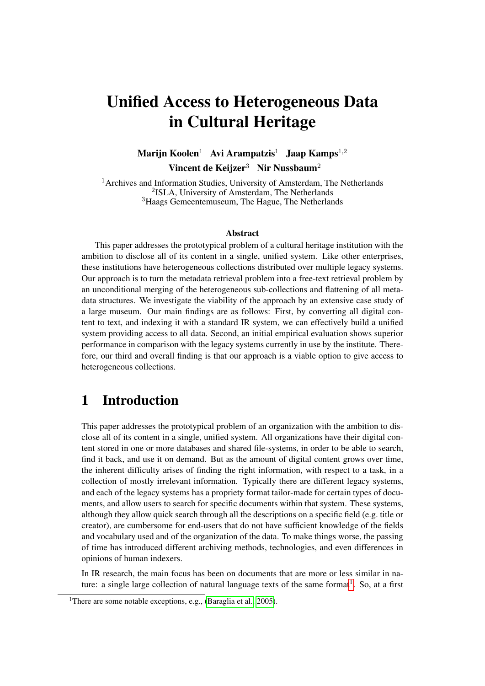# Unified Access to Heterogeneous Data in Cultural Heritage

Marijn Koolen<sup>1</sup> Avi Arampatzis<sup>1</sup> Jaap Kamps<sup>1,2</sup> Vincent de Keijzer<sup>3</sup> Nir Nussbaum<sup>2</sup>

 $<sup>1</sup>$ Archives and Information Studies, University of Amsterdam, The Netherlands</sup> 2 ISLA, University of Amsterdam, The Netherlands <sup>3</sup>Haags Gemeentemuseum, The Hague, The Netherlands

#### Abstract

This paper addresses the prototypical problem of a cultural heritage institution with the ambition to disclose all of its content in a single, unified system. Like other enterprises, these institutions have heterogeneous collections distributed over multiple legacy systems. Our approach is to turn the metadata retrieval problem into a free-text retrieval problem by an unconditional merging of the heterogeneous sub-collections and flattening of all metadata structures. We investigate the viability of the approach by an extensive case study of a large museum. Our main findings are as follows: First, by converting all digital content to text, and indexing it with a standard IR system, we can effectively build a unified system providing access to all data. Second, an initial empirical evaluation shows superior performance in comparison with the legacy systems currently in use by the institute. Therefore, our third and overall finding is that our approach is a viable option to give access to heterogeneous collections.

### 1 Introduction

This paper addresses the prototypical problem of an organization with the ambition to disclose all of its content in a single, unified system. All organizations have their digital content stored in one or more databases and shared file-systems, in order to be able to search, find it back, and use it on demand. But as the amount of digital content grows over time, the inherent difficulty arises of finding the right information, with respect to a task, in a collection of mostly irrelevant information. Typically there are different legacy systems, and each of the legacy systems has a propriety format tailor-made for certain types of documents, and allow users to search for specific documents within that system. These systems, although they allow quick search through all the descriptions on a specific field (e.g. title or creator), are cumbersome for end-users that do not have sufficient knowledge of the fields and vocabulary used and of the organization of the data. To make things worse, the passing of time has introduced different archiving methods, technologies, and even differences in opinions of human indexers.

In IR research, the main focus has been on documents that are more or less similar in na-ture: a single large collection of natural language texts of the same format<sup>[1](#page-0-0)</sup>. So, at a first

<span id="page-0-0"></span><sup>&</sup>lt;sup>1</sup>There are some notable exceptions, e.g., [\(Baraglia et al., 2005\)](#page-13-0).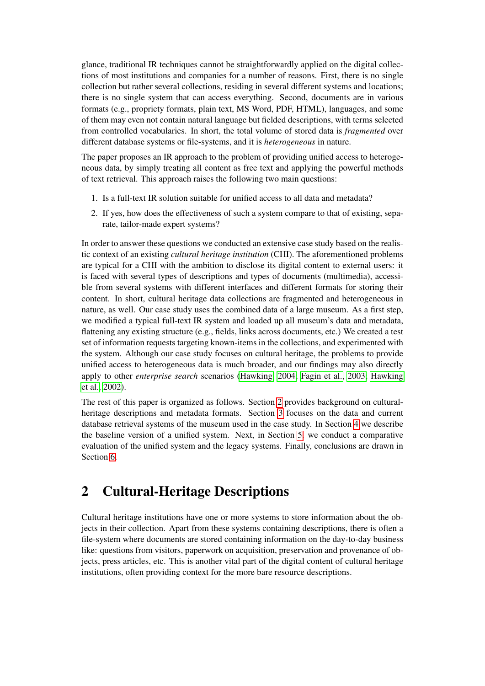glance, traditional IR techniques cannot be straightforwardly applied on the digital collections of most institutions and companies for a number of reasons. First, there is no single collection but rather several collections, residing in several different systems and locations; there is no single system that can access everything. Second, documents are in various formats (e.g., propriety formats, plain text, MS Word, PDF, HTML), languages, and some of them may even not contain natural language but fielded descriptions, with terms selected from controlled vocabularies. In short, the total volume of stored data is *fragmented* over different database systems or file-systems, and it is *heterogeneous* in nature.

The paper proposes an IR approach to the problem of providing unified access to heterogeneous data, by simply treating all content as free text and applying the powerful methods of text retrieval. This approach raises the following two main questions:

- 1. Is a full-text IR solution suitable for unified access to all data and metadata?
- 2. If yes, how does the effectiveness of such a system compare to that of existing, separate, tailor-made expert systems?

In order to answer these questions we conducted an extensive case study based on the realistic context of an existing *cultural heritage institution* (CHI). The aforementioned problems are typical for a CHI with the ambition to disclose its digital content to external users: it is faced with several types of descriptions and types of documents (multimedia), accessible from several systems with different interfaces and different formats for storing their content. In short, cultural heritage data collections are fragmented and heterogeneous in nature, as well. Our case study uses the combined data of a large museum. As a first step, we modified a typical full-text IR system and loaded up all museum's data and metadata, flattening any existing structure (e.g., fields, links across documents, etc.) We created a test set of information requests targeting known-items in the collections, and experimented with the system. Although our case study focuses on cultural heritage, the problems to provide unified access to heterogeneous data is much broader, and our findings may also directly apply to other *enterprise search* scenarios [\(Hawking, 2004;](#page-13-1) [Fagin et al., 2003;](#page-13-2) [Hawking](#page-14-0) [et al., 2002\)](#page-14-0).

The rest of this paper is organized as follows. Section [2](#page-1-0) provides background on culturalheritage descriptions and metadata formats. Section [3](#page-3-0) focuses on the data and current database retrieval systems of the museum used in the case study. In Section [4](#page-5-0) we describe the baseline version of a unified system. Next, in Section [5,](#page-7-0) we conduct a comparative evaluation of the unified system and the legacy systems. Finally, conclusions are drawn in Section [6.](#page-12-0)

## <span id="page-1-0"></span>2 Cultural-Heritage Descriptions

Cultural heritage institutions have one or more systems to store information about the objects in their collection. Apart from these systems containing descriptions, there is often a file-system where documents are stored containing information on the day-to-day business like: questions from visitors, paperwork on acquisition, preservation and provenance of objects, press articles, etc. This is another vital part of the digital content of cultural heritage institutions, often providing context for the more bare resource descriptions.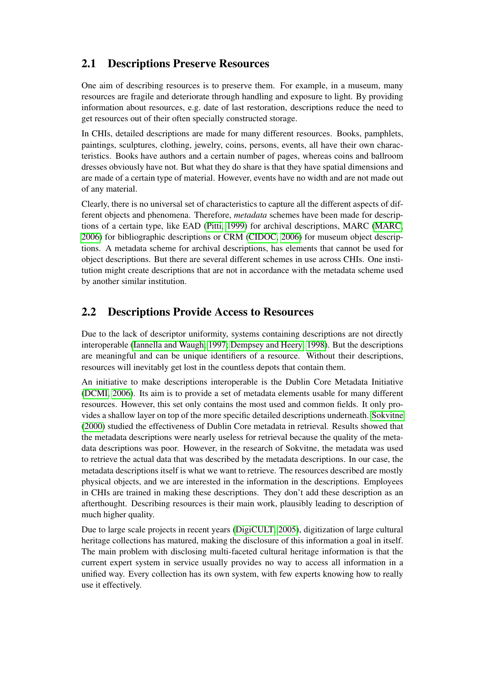#### 2.1 Descriptions Preserve Resources

One aim of describing resources is to preserve them. For example, in a museum, many resources are fragile and deteriorate through handling and exposure to light. By providing information about resources, e.g. date of last restoration, descriptions reduce the need to get resources out of their often specially constructed storage.

In CHIs, detailed descriptions are made for many different resources. Books, pamphlets, paintings, sculptures, clothing, jewelry, coins, persons, events, all have their own characteristics. Books have authors and a certain number of pages, whereas coins and ballroom dresses obviously have not. But what they do share is that they have spatial dimensions and are made of a certain type of material. However, events have no width and are not made out of any material.

Clearly, there is no universal set of characteristics to capture all the different aspects of different objects and phenomena. Therefore, *metadata* schemes have been made for descriptions of a certain type, like EAD [\(Pitti, 1999\)](#page-14-1) for archival descriptions, MARC [\(MARC,](#page-14-2) [2006\)](#page-14-2) for bibliographic descriptions or CRM [\(CIDOC, 2006\)](#page-13-3) for museum object descriptions. A metadata scheme for archival descriptions, has elements that cannot be used for object descriptions. But there are several different schemes in use across CHIs. One institution might create descriptions that are not in accordance with the metadata scheme used by another similar institution.

### 2.2 Descriptions Provide Access to Resources

Due to the lack of descriptor uniformity, systems containing descriptions are not directly interoperable [\(Iannella and Waugh, 1997;](#page-14-3) [Dempsey and Heery, 1998\)](#page-13-4). But the descriptions are meaningful and can be unique identifiers of a resource. Without their descriptions, resources will inevitably get lost in the countless depots that contain them.

An initiative to make descriptions interoperable is the Dublin Core Metadata Initiative [\(DCMI, 2006\)](#page-13-5). Its aim is to provide a set of metadata elements usable for many different resources. However, this set only contains the most used and common fields. It only provides a shallow layer on top of the more specific detailed descriptions underneath. [Sokvitne](#page-14-4) [\(2000\)](#page-14-4) studied the effectiveness of Dublin Core metadata in retrieval. Results showed that the metadata descriptions were nearly useless for retrieval because the quality of the metadata descriptions was poor. However, in the research of Sokvitne, the metadata was used to retrieve the actual data that was described by the metadata descriptions. In our case, the metadata descriptions itself is what we want to retrieve. The resources described are mostly physical objects, and we are interested in the information in the descriptions. Employees in CHIs are trained in making these descriptions. They don't add these description as an afterthought. Describing resources is their main work, plausibly leading to description of much higher quality.

Due to large scale projects in recent years [\(DigiCULT, 2005\)](#page-13-6), digitization of large cultural heritage collections has matured, making the disclosure of this information a goal in itself. The main problem with disclosing multi-faceted cultural heritage information is that the current expert system in service usually provides no way to access all information in a unified way. Every collection has its own system, with few experts knowing how to really use it effectively.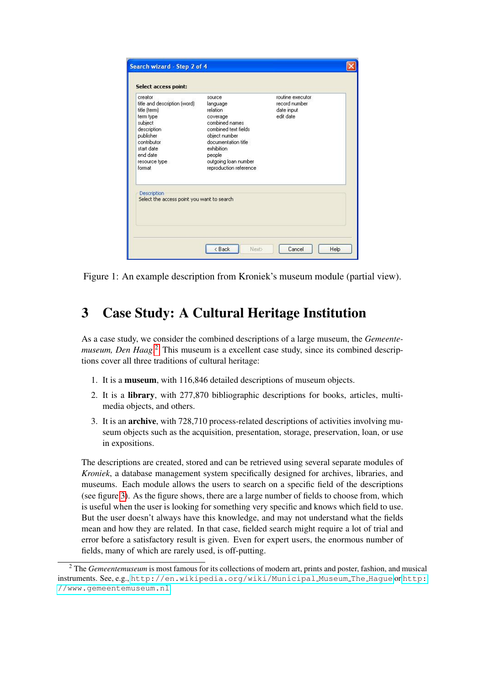| creator<br>title and description (word)<br>title (term)<br>term type<br>subject<br>description<br>publisher<br>contributor | source<br>language<br>relation<br>coverage<br>combined names<br>combined text fields<br>object number<br>documentation title | routine executor.<br>record number<br>date input<br>edit date |
|----------------------------------------------------------------------------------------------------------------------------|------------------------------------------------------------------------------------------------------------------------------|---------------------------------------------------------------|
| start date<br>end date<br>resource type<br>format                                                                          | <i>exhibition</i><br>people<br>outgoing loan number<br>reproduction reference                                                |                                                               |
| Description<br>Select the access point you want to search                                                                  |                                                                                                                              |                                                               |

Figure 1: An example description from Kroniek's museum module (partial view).

# <span id="page-3-0"></span>3 Case Study: A Cultural Heritage Institution

As a case study, we consider the combined descriptions of a large museum, the *Gemeentemuseum, Den Haag*. [2](#page-3-1) This museum is a excellent case study, since its combined descriptions cover all three traditions of cultural heritage:

- 1. It is a museum, with 116,846 detailed descriptions of museum objects.
- 2. It is a library, with 277,870 bibliographic descriptions for books, articles, multimedia objects, and others.
- <span id="page-3-2"></span>3. It is an archive, with 728,710 process-related descriptions of activities involving museum objects such as the acquisition, presentation, storage, preservation, loan, or use in expositions.

The descriptions are created, stored and can be retrieved using several separate modules of *Kroniek*, a database management system specifically designed for archives, libraries, and museums. Each module allows the users to search on a specific field of the descriptions (see figure [3\)](#page-3-2). As the figure shows, there are a large number of fields to choose from, which is useful when the user is looking for something very specific and knows which field to use. But the user doesn't always have this knowledge, and may not understand what the fields mean and how they are related. In that case, fielded search might require a lot of trial and error before a satisfactory result is given. Even for expert users, the enormous number of fields, many of which are rarely used, is off-putting.

<span id="page-3-1"></span><sup>2</sup> The *Gemeentemuseum* is most famous for its collections of modern art, prints and poster, fashion, and musical instruments. See, e.g., [http://en.wikipedia.org/wiki/Municipal](http://en.wikipedia.org/wiki/Municipal_Museum_The_Hague) Museum The Hague or [http:](http://www.gemeentemuseum.nl) [//www.gemeentemuseum.nl](http://www.gemeentemuseum.nl).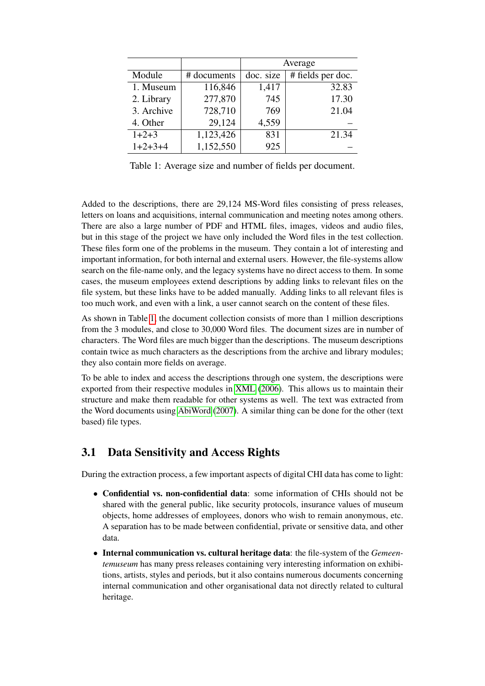|            |             | Average   |                   |  |
|------------|-------------|-----------|-------------------|--|
| Module     | # documents | doc. size | # fields per doc. |  |
| 1. Museum  | 116,846     | 1,417     | 32.83             |  |
| 2. Library | 277,870     | 745       | 17.30             |  |
| 3. Archive | 728,710     | 769       | 21.04             |  |
| 4. Other   | 29,124      | 4,559     |                   |  |
| $1+2+3$    | 1,123,426   | 831       | 21.34             |  |
| $1+2+3+4$  | 1,152,550   | 925       |                   |  |

<span id="page-4-0"></span>Table 1: Average size and number of fields per document.

Added to the descriptions, there are 29,124 MS-Word files consisting of press releases, letters on loans and acquisitions, internal communication and meeting notes among others. There are also a large number of PDF and HTML files, images, videos and audio files, but in this stage of the project we have only included the Word files in the test collection. These files form one of the problems in the museum. They contain a lot of interesting and important information, for both internal and external users. However, the file-systems allow search on the file-name only, and the legacy systems have no direct access to them. In some cases, the museum employees extend descriptions by adding links to relevant files on the file system, but these links have to be added manually. Adding links to all relevant files is too much work, and even with a link, a user cannot search on the content of these files.

As shown in Table [1,](#page-4-0) the document collection consists of more than 1 million descriptions from the 3 modules, and close to 30,000 Word files. The document sizes are in number of characters. The Word files are much bigger than the descriptions. The museum descriptions contain twice as much characters as the descriptions from the archive and library modules; they also contain more fields on average.

To be able to index and access the descriptions through one system, the descriptions were exported from their respective modules in [XML](#page-14-5) [\(2006\)](#page-14-5). This allows us to maintain their structure and make them readable for other systems as well. The text was extracted from the Word documents using [AbiWord](#page-13-7) [\(2007\)](#page-13-7). A similar thing can be done for the other (text based) file types.

#### 3.1 Data Sensitivity and Access Rights

During the extraction process, a few important aspects of digital CHI data has come to light:

- Confidential vs. non-confidential data: some information of CHIs should not be shared with the general public, like security protocols, insurance values of museum objects, home addresses of employees, donors who wish to remain anonymous, etc. A separation has to be made between confidential, private or sensitive data, and other data.
- Internal communication vs. cultural heritage data: the file-system of the *Gemeentemuseum* has many press releases containing very interesting information on exhibitions, artists, styles and periods, but it also contains numerous documents concerning internal communication and other organisational data not directly related to cultural heritage.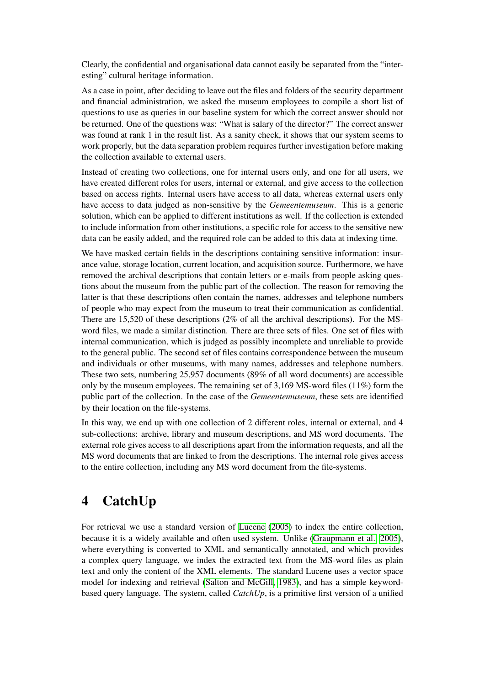Clearly, the confidential and organisational data cannot easily be separated from the "interesting" cultural heritage information.

As a case in point, after deciding to leave out the files and folders of the security department and financial administration, we asked the museum employees to compile a short list of questions to use as queries in our baseline system for which the correct answer should not be returned. One of the questions was: "What is salary of the director?" The correct answer was found at rank 1 in the result list. As a sanity check, it shows that our system seems to work properly, but the data separation problem requires further investigation before making the collection available to external users.

Instead of creating two collections, one for internal users only, and one for all users, we have created different roles for users, internal or external, and give access to the collection based on access rights. Internal users have access to all data, whereas external users only have access to data judged as non-sensitive by the *Gemeentemuseum*. This is a generic solution, which can be applied to different institutions as well. If the collection is extended to include information from other institutions, a specific role for access to the sensitive new data can be easily added, and the required role can be added to this data at indexing time.

We have masked certain fields in the descriptions containing sensitive information: insurance value, storage location, current location, and acquisition source. Furthermore, we have removed the archival descriptions that contain letters or e-mails from people asking questions about the museum from the public part of the collection. The reason for removing the latter is that these descriptions often contain the names, addresses and telephone numbers of people who may expect from the museum to treat their communication as confidential. There are 15,520 of these descriptions (2% of all the archival descriptions). For the MSword files, we made a similar distinction. There are three sets of files. One set of files with internal communication, which is judged as possibly incomplete and unreliable to provide to the general public. The second set of files contains correspondence between the museum and individuals or other museums, with many names, addresses and telephone numbers. These two sets, numbering 25,957 documents (89% of all word documents) are accessible only by the museum employees. The remaining set of  $3,169$  MS-word files (11%) form the public part of the collection. In the case of the *Gemeentemuseum*, these sets are identified by their location on the file-systems.

In this way, we end up with one collection of 2 different roles, internal or external, and 4 sub-collections: archive, library and museum descriptions, and MS word documents. The external role gives access to all descriptions apart from the information requests, and all the MS word documents that are linked to from the descriptions. The internal role gives access to the entire collection, including any MS word document from the file-systems.

# <span id="page-5-0"></span>4 CatchUp

For retrieval we use a standard version of [Lucene](#page-14-6) [\(2005\)](#page-14-6) to index the entire collection, because it is a widely available and often used system. Unlike [\(Graupmann et al., 2005\)](#page-13-8), where everything is converted to XML and semantically annotated, and which provides a complex query language, we index the extracted text from the MS-word files as plain text and only the content of the XML elements. The standard Lucene uses a vector space model for indexing and retrieval [\(Salton and McGill, 1983\)](#page-14-7), and has a simple keywordbased query language. The system, called *CatchUp*, is a primitive first version of a unified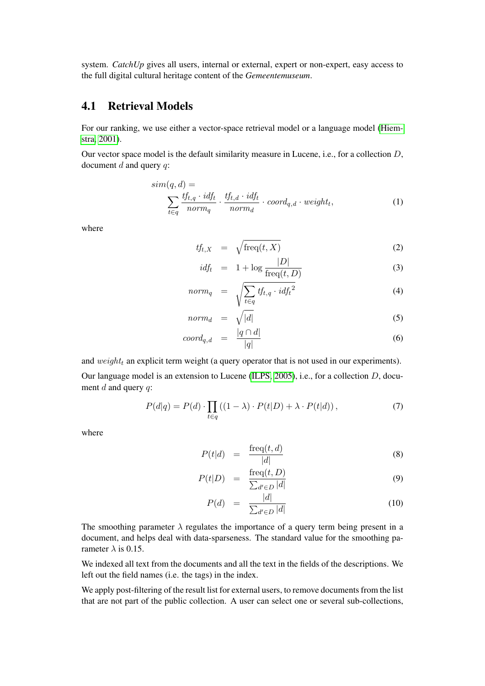system. *CatchUp* gives all users, internal or external, expert or non-expert, easy access to the full digital cultural heritage content of the *Gemeentemuseum*.

#### 4.1 Retrieval Models

For our ranking, we use either a vector-space retrieval model or a language model [\(Hiem](#page-14-8)[stra, 2001\)](#page-14-8).

Our vector space model is the default similarity measure in Lucene, i.e., for a collection D, document  $d$  and query  $q$ :

$$
sim(q, d) = \sum_{t \in q} \frac{tf_{t,q} \cdot idf_t}{norm_q} \cdot \frac{tf_{t,d} \cdot idf_t}{norm_d} \cdot coord_{q,d} \cdot weight_t,
$$
\n(1)

where

$$
tf_{t,X} = \sqrt{\text{freq}(t,X)}\tag{2}
$$

<span id="page-6-0"></span>
$$
i df_t = 1 + \log \frac{|D|}{\text{freq}(t, D)}
$$
\n(3)

$$
norm_q = \sqrt{\sum_{t \in q} t f_{t,q} \cdot idf_t^2} \tag{4}
$$

$$
norm_d = \sqrt{|d|} \tag{5}
$$

$$
coord_{q,d} = \frac{|q \cap d|}{|q|} \tag{6}
$$

and  $weight_t$  an explicit term weight (a query operator that is not used in our experiments).

Our language model is an extension to Lucene [\(ILPS, 2005\)](#page-14-9), i.e., for a collection D, document  $d$  and query  $q$ :

$$
P(d|q) = P(d) \cdot \prod_{t \in q} \left( (1 - \lambda) \cdot P(t|D) + \lambda \cdot P(t|d) \right),\tag{7}
$$

where

<span id="page-6-1"></span>
$$
P(t|d) = \frac{\text{freq}(t, d)}{|d|} \tag{8}
$$

$$
P(t|D) = \frac{\text{freq}(t, D)}{\sum_{d' \in D} |d|} \tag{9}
$$

$$
P(d) = \frac{|d|}{\sum_{d' \in D} |d|} \tag{10}
$$

The smoothing parameter  $\lambda$  regulates the importance of a query term being present in a document, and helps deal with data-sparseness. The standard value for the smoothing parameter  $\lambda$  is 0.15.

We indexed all text from the documents and all the text in the fields of the descriptions. We left out the field names (i.e. the tags) in the index.

We apply post-filtering of the result list for external users, to remove documents from the list that are not part of the public collection. A user can select one or several sub-collections,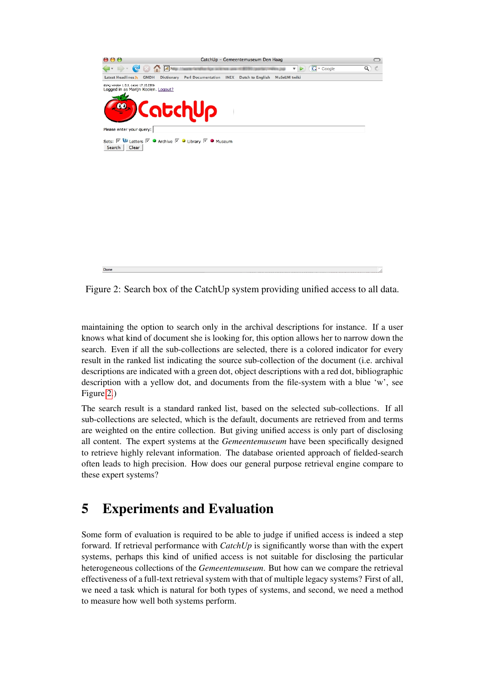

Figure 2: Search box of the CatchUp system providing unified access to all data.

<span id="page-7-1"></span>maintaining the option to search only in the archival descriptions for instance. If a user knows what kind of document she is looking for, this option allows her to narrow down the search. Even if all the sub-collections are selected, there is a colored indicator for every result in the ranked list indicating the source sub-collection of the document (i.e. archival descriptions are indicated with a green dot, object descriptions with a red dot, bibliographic description with a yellow dot, and documents from the file-system with a blue 'w', see Figure [2.](#page-7-1))

The search result is a standard ranked list, based on the selected sub-collections. If all sub-collections are selected, which is the default, documents are retrieved from and terms are weighted on the entire collection. But giving unified access is only part of disclosing all content. The expert systems at the *Gemeentemuseum* have been specifically designed to retrieve highly relevant information. The database oriented approach of fielded-search often leads to high precision. How does our general purpose retrieval engine compare to these expert systems?

# <span id="page-7-0"></span>5 Experiments and Evaluation

Some form of evaluation is required to be able to judge if unified access is indeed a step forward. If retrieval performance with *CatchUp* is significantly worse than with the expert systems, perhaps this kind of unified access is not suitable for disclosing the particular heterogeneous collections of the *Gemeentemuseum*. But how can we compare the retrieval effectiveness of a full-text retrieval system with that of multiple legacy systems? First of all, we need a task which is natural for both types of systems, and second, we need a method to measure how well both systems perform.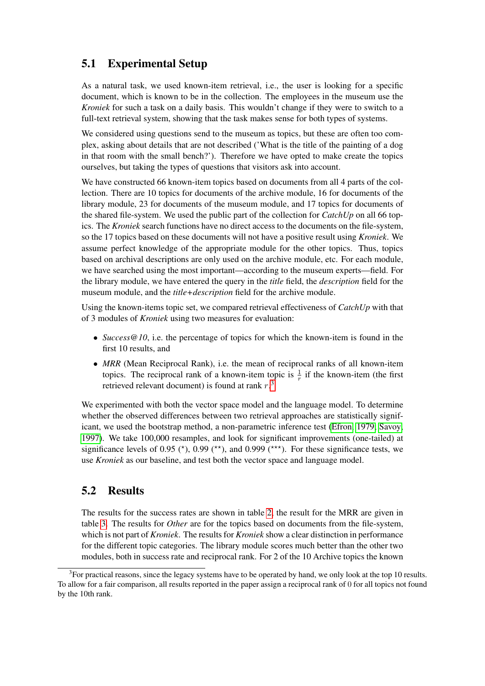### 5.1 Experimental Setup

As a natural task, we used known-item retrieval, i.e., the user is looking for a specific document, which is known to be in the collection. The employees in the museum use the *Kroniek* for such a task on a daily basis. This wouldn't change if they were to switch to a full-text retrieval system, showing that the task makes sense for both types of systems.

We considered using questions send to the museum as topics, but these are often too complex, asking about details that are not described ('What is the title of the painting of a dog in that room with the small bench?'). Therefore we have opted to make create the topics ourselves, but taking the types of questions that visitors ask into account.

We have constructed 66 known-item topics based on documents from all 4 parts of the collection. There are 10 topics for documents of the archive module, 16 for documents of the library module, 23 for documents of the museum module, and 17 topics for documents of the shared file-system. We used the public part of the collection for *CatchUp* on all 66 topics. The *Kroniek* search functions have no direct access to the documents on the file-system, so the 17 topics based on these documents will not have a positive result using *Kroniek*. We assume perfect knowledge of the appropriate module for the other topics. Thus, topics based on archival descriptions are only used on the archive module, etc. For each module, we have searched using the most important—according to the museum experts—field. For the library module, we have entered the query in the *title* field, the *description* field for the museum module, and the *title+description* field for the archive module.

Using the known-items topic set, we compared retrieval effectiveness of *CatchUp* with that of 3 modules of *Kroniek* using two measures for evaluation:

- *Success@10*, i.e. the percentage of topics for which the known-item is found in the first 10 results, and
- *MRR* (Mean Reciprocal Rank), i.e. the mean of reciprocal ranks of all known-item topics. The reciprocal rank of a known-item topic is  $\frac{1}{r}$  if the known-item (the first retrieved relevant document) is found at rank  $r<sup>3</sup>$  $r<sup>3</sup>$  $r<sup>3</sup>$ .

We experimented with both the vector space model and the language model. To determine whether the observed differences between two retrieval approaches are statistically significant, we used the bootstrap method, a non-parametric inference test [\(Efron, 1979;](#page-13-9) [Savoy,](#page-14-10) [1997\)](#page-14-10). We take 100,000 resamples, and look for significant improvements (one-tailed) at significance levels of 0.95 ( $*$ ), 0.99 ( $**$ ), and 0.999 ( $***$ ). For these significance tests, we use *Kroniek* as our baseline, and test both the vector space and language model.

#### 5.2 Results

The results for the success rates are shown in table [2,](#page-9-0) the result for the MRR are given in table [3.](#page-9-1) The results for *Other* are for the topics based on documents from the file-system, which is not part of *Kroniek*. The results for *Kroniek* show a clear distinction in performance for the different topic categories. The library module scores much better than the other two modules, both in success rate and reciprocal rank. For 2 of the 10 Archive topics the known

<span id="page-8-0"></span> $3$ For practical reasons, since the legacy systems have to be operated by hand, we only look at the top 10 results. To allow for a fair comparison, all results reported in the paper assign a reciprocal rank of 0 for all topics not found by the 10th rank.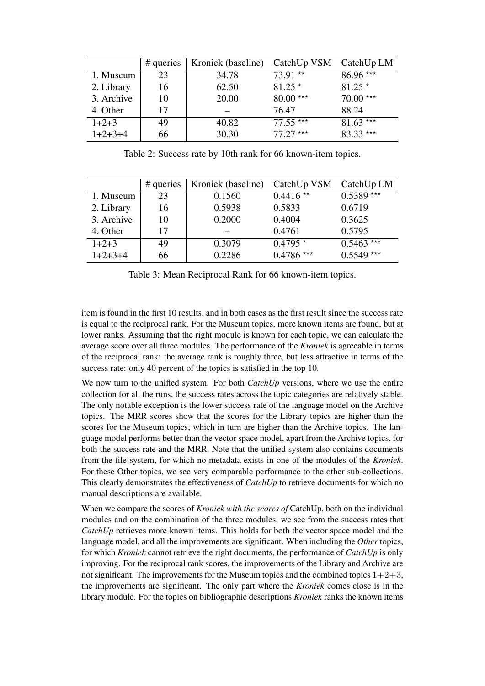|            | # queries | Kroniek (baseline) | CatchUp VSM | CatchUp LM |
|------------|-----------|--------------------|-------------|------------|
| 1. Museum  | 23        | 34.78              | 73.91 **    | $86.96***$ |
| 2. Library | 16        | 62.50              | $81.25*$    | $81.25*$   |
| 3. Archive | 10        | 20.00              | $80.00***$  | $70.00***$ |
| 4. Other   | 17        |                    | 76.47       | 88.24      |
| $1+2+3$    | 49        | 40.82              | $77.55***$  | $81.63***$ |
| $1+2+3+4$  | 66        | 30.30              | $77.27***$  | $83.33***$ |

<span id="page-9-0"></span>Table 2: Success rate by 10th rank for 66 known-item topics.

|            | # queries | Kroniek (baseline) | CatchUp VSM | CatchUp LM  |
|------------|-----------|--------------------|-------------|-------------|
| 1. Museum  | 23        | 0.1560             | $0.4416**$  | $0.5389***$ |
| 2. Library | 16        | 0.5938             | 0.5833      | 0.6719      |
| 3. Archive | 10        | 0.2000             | 0.4004      | 0.3625      |
| 4. Other   | 17        |                    | 0.4761      | 0.5795      |
| $1+2+3$    | 49        | 0.3079             | $0.4795*$   | $0.5463***$ |
| $1+2+3+4$  | 66        | 0.2286             | $0.4786***$ | $0.5549***$ |

<span id="page-9-1"></span>Table 3: Mean Reciprocal Rank for 66 known-item topics.

item is found in the first 10 results, and in both cases as the first result since the success rate is equal to the reciprocal rank. For the Museum topics, more known items are found, but at lower ranks. Assuming that the right module is known for each topic, we can calculate the average score over all three modules. The performance of the *Kroniek* is agreeable in terms of the reciprocal rank: the average rank is roughly three, but less attractive in terms of the success rate: only 40 percent of the topics is satisfied in the top 10.

We now turn to the unified system. For both *CatchUp* versions, where we use the entire collection for all the runs, the success rates across the topic categories are relatively stable. The only notable exception is the lower success rate of the language model on the Archive topics. The MRR scores show that the scores for the Library topics are higher than the scores for the Museum topics, which in turn are higher than the Archive topics. The language model performs better than the vector space model, apart from the Archive topics, for both the success rate and the MRR. Note that the unified system also contains documents from the file-system, for which no metadata exists in one of the modules of the *Kroniek*. For these Other topics, we see very comparable performance to the other sub-collections. This clearly demonstrates the effectiveness of *CatchUp* to retrieve documents for which no manual descriptions are available.

When we compare the scores of *Kroniek with the scores of* CatchUp, both on the individual modules and on the combination of the three modules, we see from the success rates that *CatchUp* retrieves more known items. This holds for both the vector space model and the language model, and all the improvements are significant. When including the *Other* topics, for which *Kroniek* cannot retrieve the right documents, the performance of *CatchUp* is only improving. For the reciprocal rank scores, the improvements of the Library and Archive are not significant. The improvements for the Museum topics and the combined topics  $1+2+3$ , the improvements are significant. The only part where the *Kroniek* comes close is in the library module. For the topics on bibliographic descriptions *Kroniek* ranks the known items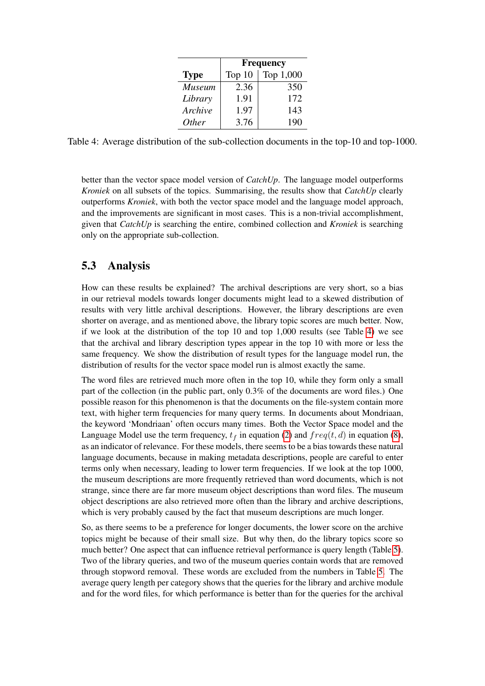|               | <b>Frequency</b> |           |  |
|---------------|------------------|-----------|--|
| <b>Type</b>   | Top $10$         | Top 1,000 |  |
| <b>Museum</b> | 2.36             | 350       |  |
| Library       | 1.91             | 172       |  |
| Archive       | 1.97             | 143       |  |
| <i>Other</i>  | 3.76             | 190       |  |

<span id="page-10-0"></span>Table 4: Average distribution of the sub-collection documents in the top-10 and top-1000.

better than the vector space model version of *CatchUp*. The language model outperforms *Kroniek* on all subsets of the topics. Summarising, the results show that *CatchUp* clearly outperforms *Kroniek*, with both the vector space model and the language model approach, and the improvements are significant in most cases. This is a non-trivial accomplishment, given that *CatchUp* is searching the entire, combined collection and *Kroniek* is searching only on the appropriate sub-collection.

#### 5.3 Analysis

How can these results be explained? The archival descriptions are very short, so a bias in our retrieval models towards longer documents might lead to a skewed distribution of results with very little archival descriptions. However, the library descriptions are even shorter on average, and as mentioned above, the library topic scores are much better. Now, if we look at the distribution of the top 10 and top 1,000 results (see Table [4\)](#page-10-0) we see that the archival and library description types appear in the top 10 with more or less the same frequency. We show the distribution of result types for the language model run, the distribution of results for the vector space model run is almost exactly the same.

The word files are retrieved much more often in the top 10, while they form only a small part of the collection (in the public part, only 0.3% of the documents are word files.) One possible reason for this phenomenon is that the documents on the file-system contain more text, with higher term frequencies for many query terms. In documents about Mondriaan, the keyword 'Mondriaan' often occurs many times. Both the Vector Space model and the Language Model use the term frequency,  $t_f$  in equation [\(2\)](#page-6-0) and  $freq(t, d)$  in equation [\(8\)](#page-6-1), as an indicator of relevance. For these models, there seems to be a bias towards these natural language documents, because in making metadata descriptions, people are careful to enter terms only when necessary, leading to lower term frequencies. If we look at the top 1000, the museum descriptions are more frequently retrieved than word documents, which is not strange, since there are far more museum object descriptions than word files. The museum object descriptions are also retrieved more often than the library and archive descriptions, which is very probably caused by the fact that museum descriptions are much longer.

So, as there seems to be a preference for longer documents, the lower score on the archive topics might be because of their small size. But why then, do the library topics score so much better? One aspect that can influence retrieval performance is query length (Table [5\)](#page-11-0). Two of the library queries, and two of the museum queries contain words that are removed through stopword removal. These words are excluded from the numbers in Table [5.](#page-11-0) The average query length per category shows that the queries for the library and archive module and for the word files, for which performance is better than for the queries for the archival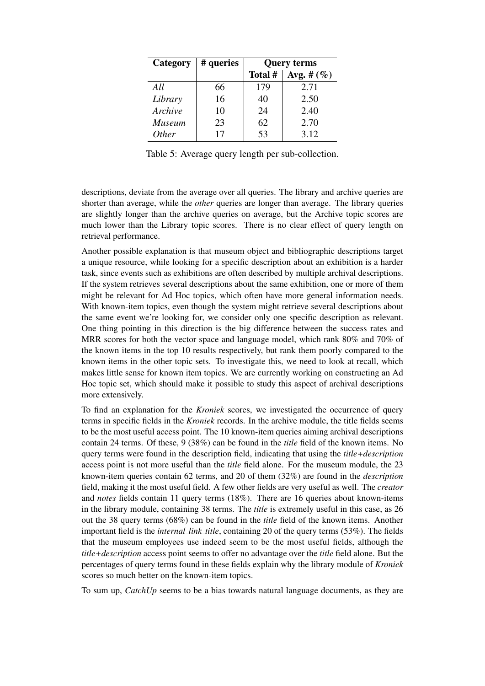| Category      | # queries | <b>Query terms</b> |                |  |
|---------------|-----------|--------------------|----------------|--|
|               |           | Total #            | Avg. # $(\% )$ |  |
| All           | 66        | 179                | 2.71           |  |
| Library       | 16        | 40                 | 2.50           |  |
| Archive       | 10        | 24                 | 2.40           |  |
| <b>Museum</b> | 23        | 62                 | 2.70           |  |
| <i>Other</i>  | 17        | 53                 | 3.12           |  |

<span id="page-11-0"></span>Table 5: Average query length per sub-collection.

descriptions, deviate from the average over all queries. The library and archive queries are shorter than average, while the *other* queries are longer than average. The library queries are slightly longer than the archive queries on average, but the Archive topic scores are much lower than the Library topic scores. There is no clear effect of query length on retrieval performance.

Another possible explanation is that museum object and bibliographic descriptions target a unique resource, while looking for a specific description about an exhibition is a harder task, since events such as exhibitions are often described by multiple archival descriptions. If the system retrieves several descriptions about the same exhibition, one or more of them might be relevant for Ad Hoc topics, which often have more general information needs. With known-item topics, even though the system might retrieve several descriptions about the same event we're looking for, we consider only one specific description as relevant. One thing pointing in this direction is the big difference between the success rates and MRR scores for both the vector space and language model, which rank 80% and 70% of the known items in the top 10 results respectively, but rank them poorly compared to the known items in the other topic sets. To investigate this, we need to look at recall, which makes little sense for known item topics. We are currently working on constructing an Ad Hoc topic set, which should make it possible to study this aspect of archival descriptions more extensively.

To find an explanation for the *Kroniek* scores, we investigated the occurrence of query terms in specific fields in the *Kroniek* records. In the archive module, the title fields seems to be the most useful access point. The 10 known-item queries aiming archival descriptions contain 24 terms. Of these, 9 (38%) can be found in the *title* field of the known items. No query terms were found in the description field, indicating that using the *title+description* access point is not more useful than the *title* field alone. For the museum module, the 23 known-item queries contain 62 terms, and 20 of them (32%) are found in the *description* field, making it the most useful field. A few other fields are very useful as well. The *creator* and *notes* fields contain 11 query terms (18%). There are 16 queries about known-items in the library module, containing 38 terms. The *title* is extremely useful in this case, as 26 out the 38 query terms (68%) can be found in the *title* field of the known items. Another important field is the *internal link title*, containing 20 of the query terms (53%). The fields that the museum employees use indeed seem to be the most useful fields, although the *title+description* access point seems to offer no advantage over the *title* field alone. But the percentages of query terms found in these fields explain why the library module of *Kroniek* scores so much better on the known-item topics.

To sum up, *CatchUp* seems to be a bias towards natural language documents, as they are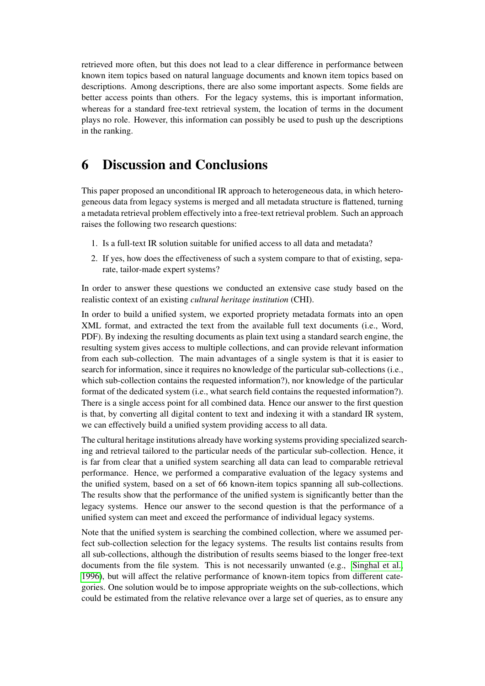retrieved more often, but this does not lead to a clear difference in performance between known item topics based on natural language documents and known item topics based on descriptions. Among descriptions, there are also some important aspects. Some fields are better access points than others. For the legacy systems, this is important information, whereas for a standard free-text retrieval system, the location of terms in the document plays no role. However, this information can possibly be used to push up the descriptions in the ranking.

### <span id="page-12-0"></span>6 Discussion and Conclusions

This paper proposed an unconditional IR approach to heterogeneous data, in which heterogeneous data from legacy systems is merged and all metadata structure is flattened, turning a metadata retrieval problem effectively into a free-text retrieval problem. Such an approach raises the following two research questions:

- 1. Is a full-text IR solution suitable for unified access to all data and metadata?
- 2. If yes, how does the effectiveness of such a system compare to that of existing, separate, tailor-made expert systems?

In order to answer these questions we conducted an extensive case study based on the realistic context of an existing *cultural heritage institution* (CHI).

In order to build a unified system, we exported propriety metadata formats into an open XML format, and extracted the text from the available full text documents (i.e., Word, PDF). By indexing the resulting documents as plain text using a standard search engine, the resulting system gives access to multiple collections, and can provide relevant information from each sub-collection. The main advantages of a single system is that it is easier to search for information, since it requires no knowledge of the particular sub-collections (i.e., which sub-collection contains the requested information?), nor knowledge of the particular format of the dedicated system (i.e., what search field contains the requested information?). There is a single access point for all combined data. Hence our answer to the first question is that, by converting all digital content to text and indexing it with a standard IR system, we can effectively build a unified system providing access to all data.

The cultural heritage institutions already have working systems providing specialized searching and retrieval tailored to the particular needs of the particular sub-collection. Hence, it is far from clear that a unified system searching all data can lead to comparable retrieval performance. Hence, we performed a comparative evaluation of the legacy systems and the unified system, based on a set of 66 known-item topics spanning all sub-collections. The results show that the performance of the unified system is significantly better than the legacy systems. Hence our answer to the second question is that the performance of a unified system can meet and exceed the performance of individual legacy systems.

Note that the unified system is searching the combined collection, where we assumed perfect sub-collection selection for the legacy systems. The results list contains results from all sub-collections, although the distribution of results seems biased to the longer free-text documents from the file system. This is not necessarily unwanted (e.g., [Singhal et al.,](#page-14-11) [1996\)](#page-14-11), but will affect the relative performance of known-item topics from different categories. One solution would be to impose appropriate weights on the sub-collections, which could be estimated from the relative relevance over a large set of queries, as to ensure any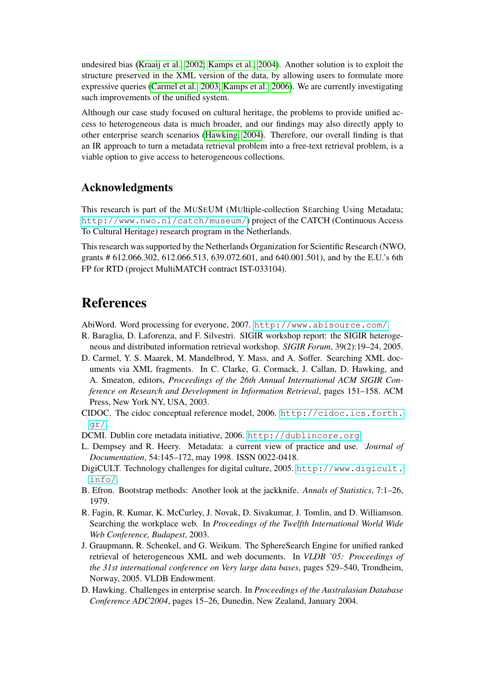undesired bias [\(Kraaij et al., 2002;](#page-14-12) [Kamps et al., 2004\)](#page-14-13). Another solution is to exploit the structure preserved in the XML version of the data, by allowing users to formulate more expressive queries [\(Carmel et al., 2003;](#page-13-10) [Kamps et al., 2006\)](#page-14-14). We are currently investigating such improvements of the unified system.

Although our case study focused on cultural heritage, the problems to provide unified access to heterogeneous data is much broader, and our findings may also directly apply to other enterprise search scenarios [\(Hawking, 2004\)](#page-13-1). Therefore, our overall finding is that an IR approach to turn a metadata retrieval problem into a free-text retrieval problem, is a viable option to give access to heterogeneous collections.

#### Acknowledgments

This research is part of the MUSEUM (MUltiple-collection SEarching Using Metadata; <http://www.nwo.nl/catch/museum/>) project of the CATCH (Continuous Access To Cultural Heritage) research program in the Netherlands.

This research was supported by the Netherlands Organization for Scientific Research (NWO, grants # 612.066.302, 612.066.513, 639.072.601, and 640.001.501), and by the E.U.'s 6th FP for RTD (project MultiMATCH contract IST-033104).

### References

<span id="page-13-7"></span>AbiWord. Word processing for everyone, 2007. <http://www.abisource.com/>.

- <span id="page-13-0"></span>R. Baraglia, D. Laforenza, and F. Silvestri. SIGIR workshop report: the SIGIR heterogeneous and distributed information retrieval workshop. *SIGIR Forum*, 39(2):19–24, 2005.
- <span id="page-13-10"></span>D. Carmel, Y. S. Maarek, M. Mandelbrod, Y. Mass, and A. Soffer. Searching XML documents via XML fragments. In C. Clarke, G. Cormack, J. Callan, D. Hawking, and A. Smeaton, editors, *Proceedings of the 26th Annual International ACM SIGIR Conference on Research and Development in Information Retrieval*, pages 151–158. ACM Press, New York NY, USA, 2003.
- <span id="page-13-3"></span>CIDOC. The cidoc conceptual reference model, 2006. [http://cidoc.ics.forth.](http://cidoc.ics.forth.gr/) [gr/](http://cidoc.ics.forth.gr/).
- <span id="page-13-5"></span>DCMI. Dublin core metadata initiative, 2006. <http://dublincore.org>.
- <span id="page-13-4"></span>L. Dempsey and R. Heery. Metadata: a current view of practice and use. *Journal of Documentation*, 54:145–172, may 1998. ISSN 0022-0418.
- <span id="page-13-6"></span>DigiCULT. Technology challenges for digital culture, 2005. [http://www.digicult.](http://www.digicult.info/) [info/](http://www.digicult.info/).
- <span id="page-13-9"></span>B. Efron. Bootstrap methods: Another look at the jackknife. *Annals of Statistics*, 7:1–26, 1979.
- <span id="page-13-2"></span>R. Fagin, R. Kumar, K. McCurley, J. Novak, D. Sivakumar, J. Tomlin, and D. Williamson. Searching the workplace web. In *Proceedings of the Twelfth International World Wide Web Conference, Budapest*, 2003.
- <span id="page-13-8"></span>J. Graupmann, R. Schenkel, and G. Weikum. The SphereSearch Engine for unified ranked retrieval of heterogeneous XML and web documents. In *VLDB '05: Proceedings of the 31st international conference on Very large data bases*, pages 529–540, Trondheim, Norway, 2005. VLDB Endowment.
- <span id="page-13-1"></span>D. Hawking. Challenges in enterprise search. In *Proceedings of the Australasian Database Conference ADC2004*, pages 15–26, Dunedin, New Zealand, January 2004.